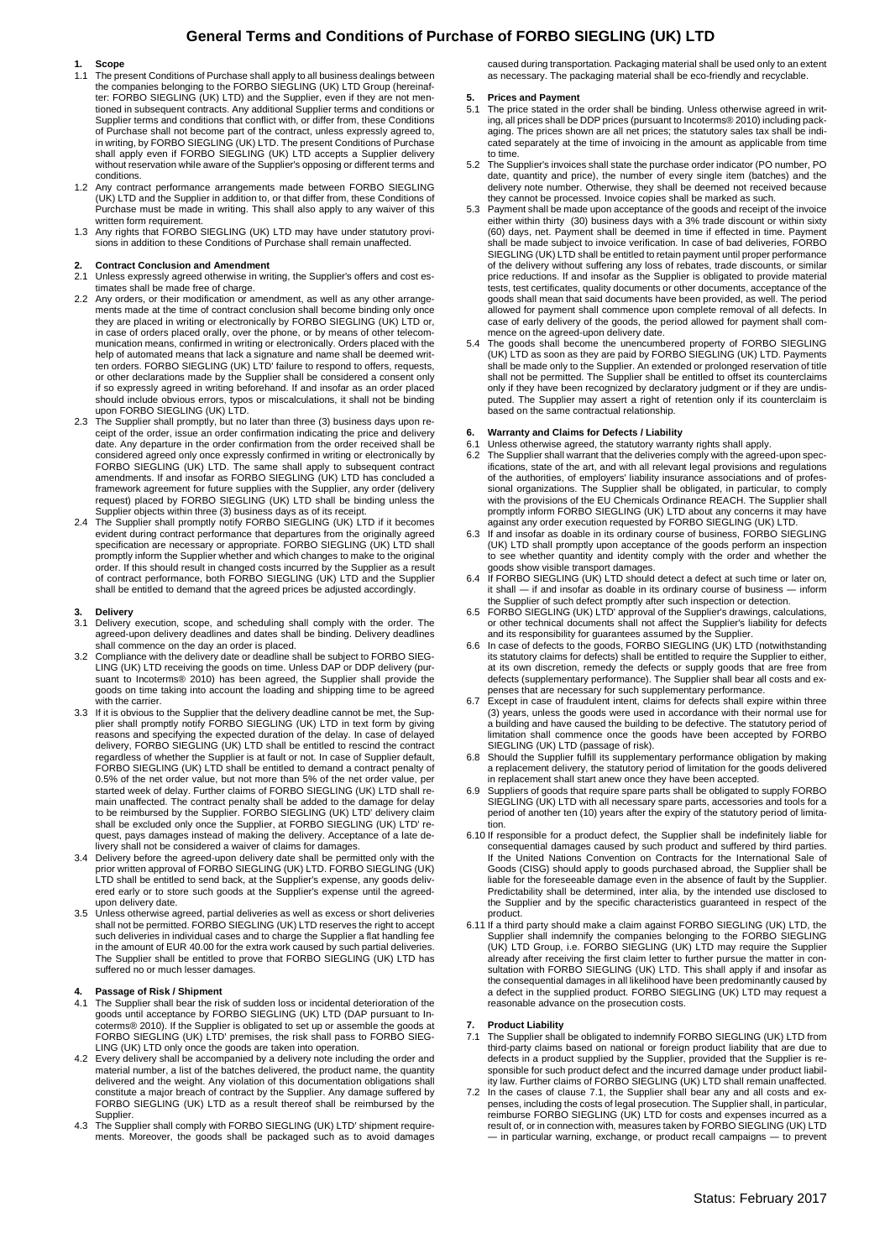# **General Terms and Conditions of Purchase of FORBO SIEGLING (UK) LTD**

# **1. Scope**

- 1.1 The present Conditions of Purchase shall apply to all business dealings between the companies belonging to the FORBO SIEGLING (UK) LTD Group (hereinaf-ter: FORBO SIEGLING (UK) LTD) and the Supplier, even if they are not mentioned in subsequent contracts. Any additional Supplier terms and conditions or Supplier terms and conditions that conflict with, or differ from, these Conditions of Purchase shall not become part of the contract, unless expressly agreed to, in writing, by FORBO SIEGLING (UK) LTD. The present Conditions of Purchase shall apply even if FORBO SIEGLING (UK) LTD accepts a Supplier delivery without reservation while aware of the Supplier's opposing or different terms and conditions.
- 1.2 Any contract performance arrangements made between FORBO SIEGLING (UK) LTD and the Supplier in addition to, or that differ from, these Conditions of Purchase must be made in writing. This shall also apply to any waiver of this
- written form requirement. 1.3 Any rights that FORBO SIEGLING (UK) LTD may have under statutory provisions in addition to these Conditions of Purchase shall remain unaffected.

# **2. Contract Conclusion and Amendment**

- Unless expressly agreed otherwise in writing, the Supplier's offers and cost estimates shall be made free of charge. 2.2 Any orders, or their modification or amendment, as well as any other arrange-
- ments made at the time of contract conclusion shall become binding only once they are placed in writing or electronically by FORBO SIEGLING (UK) LTD or, in case of orders placed orally, over the phone, or by means of other telecommunication means, confirmed in writing or electronically. Orders placed with the help of automated means that lack a signature and name shall be deemed writ-ten orders. FORBO SIEGLING (UK) LTD' failure to respond to offers, requests, or other declarations made by the Supplier shall be considered a consent only if so expressly agreed in writing beforehand. If and insofar as an order placed should include obvious errors, typos or miscalculations, it shall not be binding upon FORBO SIEGLING (UK) LTD.
- 2.3 The Supplier shall promptly, but no later than three (3) business days upon re-ceipt of the order, issue an order confirmation indicating the price and delivery date. Any departure in the order confirmation from the order received shall be considered agreed only once expressly confirmed in writing or electronically by FORBO SIEGLING (UK) LTD. The same shall apply to subsequent contract amendments. If and insofar as FORBO SIEGLING (UK) LTD has concluded a framework agreement for future supplies with the Supplier, any order (delivery request) placed by FORBO SIEGLING (UK) LTD shall be binding unless the
- Supplier objects within three (3) business days as of its receipt. 2.4 The Supplier shall promptly notify FORBO SIEGLING (UK) LTD if it becomes evident during contract performance that departures from the originally agreed specification are necessary or appropriate. FORBO SIEGLING (UK) LTD shall promptly inform the Supplier whether and which changes to make to the original order. If this should result in changed costs incurred by the Supplier as a result of contract performance, both FORBO SIEGLING (UK) LTD and the Supplier shall be entitled to demand that the agreed prices be adjusted accordingly.

## **3. Delivery**

- 3.1 Delivery execution, scope, and scheduling shall comply with the order. The agreed-upon delivery deadlines and dates shall be binding. Delivery deadlines shall commence on the day an order is placed.
- 3.2 Compliance with the delivery date or deadline shall be subject to FORBO SIEG-LING (UK) LTD receiving the goods on time. Unless DAP or DDP delivery (pursuant to Incoterms® 2010) has been agreed, the Supplier shall provide the goods on time taking into account the loading and shipping time to be agreed with the carrier.
- 3.3 If it is obvious to the Supplier that the delivery deadline cannot be met, the Supplier shall promptly notify FORBO SIEGLING (UK) LTD in text form by giving reasons and specifying the expected duration of the delay. In case of delayed delivery, FORBO SIEGLING (UK) LTD shall be entitled to rescind the contract regardless of whether the Supplier is at fault or not. In case of Supplier default, FORBO SIEGLING (UK) LTD shall be entitled to demand a contract penalty of 0.5% of the net order value, but not more than 5% of the net order value, per started week of delay. Further claims of FORBO SIEGLING (UK) LTD shall re-main unaffected. The contract penalty shall be added to the damage for delay to be reimbursed by the Supplier. FORBO SIEGLING (UK) LTD' delivery claim<br>shall be excluded only once the Supplier, at FORBO SIEGLING (UK) LTD' re-<br>quest, pays damages instead of making the delivery. Acceptance of a late d livery shall not be considered a waiver of claims for damages.
- 3.4 Delivery before the agreed-upon delivery date shall be permitted only with the prior written approval of FORBO SIEGLING (UK) LTD. FORBO SIEGLING (UK) LTD shall be entitled to send back, at the Supplier's expense, any goods deliv-ered early or to store such goods at the Supplier's expense until the agreedupon delivery date.
- 3.5 Unless otherwise agreed, partial deliveries as well as excess or short deliveries shall not be permitted. FORBO SIEGLING (UK) LTD reserves the right to accept such deliveries in individual cases and to charge the Supplier a flat handling fee in the amount of EUR 40.00 for the extra work caused by such partial deliveries. The Supplier shall be entitled to prove that FORBO SIEGLING (UK) LTD has suffered no or much lesser damages.

#### **4. Passage of Risk / Shipment**

- 4.1 The Supplier shall bear the risk of sudden loss or incidental deterioration of the goods until acceptance by FORBO SIEGLING (UK) LTD (DAP pursuant to Incoterms® 2010). If the Supplier is obligated to set up or assemble the goods at FORBO SIEGLING (UK) LTD' premises, the risk shall pass to FORBO SIEG-LING (UK) LTD only once the goods are taken into operation.
- 4.2 Every delivery shall be accompanied by a delivery note including the order and material number, a list of the batches delivered, the product name, the quantity delivered and the weight. Any violation of this documentation obligations shall constitute a major breach of contract by the Supplier. Any damage suffered by FORBO SIEGLING (UK) LTD as a result thereof shall be reimbursed by the
- Supplier. 4.3 The Supplier shall comply with FORBO SIEGLING (UK) LTD' shipment requirements. Moreover, the goods shall be packaged such as to avoid damages

caused during transportation. Packaging material shall be used only to an extent as necessary. The packaging material shall be eco-friendly and recyclable.

# **5.** Prices and Payment<br>5.1 The price stated in the

- 5.1 The price stated in the order shall be binding. Unless otherwise agreed in writing, all prices shall be DDP prices (pursuant to Incoterms® 2010) including packaging. The prices shown are all net prices; the statutory sales tax shall be indicated separately at the time of invoicing in the amount as applicable from time to time.
- 5.2 The Supplier's invoices shall state the purchase order indicator (PO number, PO date, quantity and price), the number of every single item (batches) and the delivery note number. Otherwise, they shall be deemed not received because they cannot be processed. Invoice copies shall be marked as such.
- 5.3 Payment shall be made upon acceptance of the goods and receipt of the invoice either within thirty (30) business days with a 3% trade discount or within sixty (60) days, net. Payment shall be deemed in time if effected in time. Payment shall be made subject to invoice verification. In case of bad deliveries, FORBO SIEGLING (UK) LTD shall be entitled to retain payment until proper performance<br>of the delivery without suffering any loss of rebates, trade discounts, or similar<br>price reductions. If and insofar as the Supplier is obligate tests, test certificates, quality documents or other documents, acceptance of the goods shall mean that said documents have been provided, as well. The period allowed for payment shall commence upon complete removal of all defects. In case of early delivery of the goods, the period allowed for payment shall commence on the agreed-upon delivery date.
- The goods shall become the unencumbered property of FORBO SIEGLING (UK) LTD as soon as they are paid by FORBO SIEGLING (UK) LTD. Payments shall be made only to the Supplier. An extended or prolonged reservation of title shall not be permitted. The Supplier shall be entitled to offset its counterclaims only if they have been recognized by declaratory judgment or if they are undisputed. The Supplier may assert a right of retention only if its counterclaim is based on the same contractual relationship.

# **6. Warranty and Claims for Defects / Liability**

- 6.1 Unless otherwise agreed, the statutory warranty rights shall apply.<br>6.2 The Supplier shall warrant that the deliveries comply with the agree
- 6.2 The Supplier shall warrant that the deliveries comply with the agreed-upon spec-ifications, state of the art, and with all relevant legal provisions and regulations of the authorities, of employers' liability insurance associations and of professional organizations. The Supplier shall be obligated, in particular, to comply with the provisions of the EU Chemicals Ordinance REACH. The Supplier shall promptly inform FORBO SIEGLING (UK) LTD about any concerns it may have against any order execution requested by FORBO SIEGLING (UK) LTD. 6.3 If and insofar as doable in its ordinary course of business, FORBO SIEGLING
- (UK) LTD shall promptly upon acceptance of the goods perform an inspection to see whether quantity and identity comply with the order and whether the goods show visible transport damages.
- If FORBO SIEGLING (UK) LTD should detect a defect at such time or later on, it shall ― if and insofar as doable in its ordinary course of business ― inform the Supplier of such defect promptly after such inspection or detection.
- 6.5 FORBO SIEGLING (UK) LTD' approval of the Supplier's drawings, calculations, or other technical documents shall not affect the Supplier's liability for defects and its responsibility for guarantees assumed by the Supplier.
- In case of defects to the goods, FORBO SIEGLING (UK) LTD (notwithstanding its statutory claims for defects) shall be entitled to require the Supplier to either, at its own discretion, remedy the defects or supply goods that are free from defects (supplementary performance). The Supplier shall bear all costs and ex-
- penses that are necessary for such supplementary performance. 6.7 Except in case of fraudulent intent, claims for defects shall expire within three (3) years, unless the goods were used in accordance with their normal use for a building and have caused the building to be defective. The statutory period of limitation shall commence once the goods have been accepted by FORBO SIEGLING (UK) LTD (passage of risk).
- 6.8 Should the Supplier fulfill its supplementary performance obligation by making a replacement delivery, the statutory period of limitation for the goods delivered in replacement shall start anew once they have been acce
- 6.9 Suppliers of goods that require spare parts shall be obligated to supply FORBO SIEGLING (UK) LTD with all necessary spare parts, accessories and tools for a period of another ten (10) years after the expiry of the statutory period of limitation.
- 6.10 If responsible for a product defect, the Supplier shall be indefinitely liable for consequential damages caused by such product and suffered by third parties. If the United Nations Convention on Contracts for the International Sale of Goods (CISG) should apply to goods purchased abroad, the Supplier shall be liable for the foreseeable damage even in the absence of fault by the Supplier.<br>Predictability shall be determined, inter alia, by the intended use disclosed to<br>the Supplier and by the specific characteristics guaranteed i product
- 6.11 If a third party should make a claim against FORBO SIEGLING (UK) LTD, the Supplier shall indemnify the companies belonging to the FORBO SIEGLING (UK) LTD Group, i.e. FORBO SIEGLING (UK) LTD may require the Supplier<br>already after receiving the first claim letter to further pursue the matter in con-<br>sultation with FORBO SIEGLING (UK) LTD. This shall apply if and inso the consequential damages in all likelihood have been predominantly caused by a defect in the supplied product. FORBO SIEGLING (UK) LTD may request a reasonable advance on the prosecution costs.

#### **7. Product Liability**

- 7.1 The Supplier shall be obligated to indemnify FORBO SIEGLING (UK) LTD from third-party claims based on national or foreign product liability that are due to defects in a product supplied by the Supplier, provided that the Supplier is re-sponsible for such product defect and the incurred damage under product liability law. Further claims of FORBO SIEGLING (UK) LTD shall remain unaffected.
- 7.2 In the cases of clause 7.1, the Supplier shall bear any and all costs and ex-penses, including the costs of legal prosecution. The Supplier shall, in particular, reimburse FORBO SIEGLING (UK) LTD for costs and expenses incurred as a result of, or in connection with, measures taken by FORBO SIEGLING (UK) LTD ― in particular warning, exchange, or product recall campaigns ― to prevent